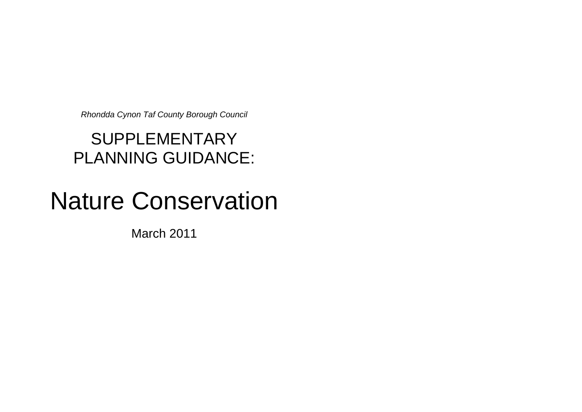*Rhondda Cynon Taf County Borough Council*

# SUPPLEMENTARY PLANNING GUIDANCE:

# Nature Conservation

March 2011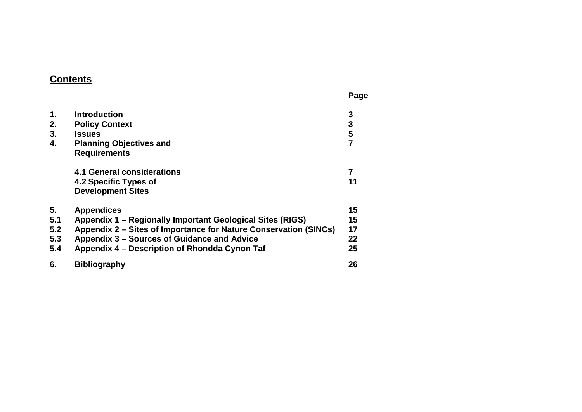# **Contents**

|                                 |                                                                                                                                                                                                                                                    | Page                          |
|---------------------------------|----------------------------------------------------------------------------------------------------------------------------------------------------------------------------------------------------------------------------------------------------|-------------------------------|
| $\mathbf 1$ .<br>2.<br>3.<br>4. | <b>Introduction</b><br><b>Policy Context</b><br><b>Issues</b><br><b>Planning Objectives and</b><br><b>Requirements</b>                                                                                                                             | 3<br>3<br>$5\phantom{1}$<br>7 |
|                                 | 4.1 General considerations<br>4.2 Specific Types of<br><b>Development Sites</b>                                                                                                                                                                    | 7<br>11                       |
| 5.<br>5.1<br>5.2<br>5.3<br>5.4  | <b>Appendices</b><br>Appendix 1 – Regionally Important Geological Sites (RIGS)<br>Appendix 2 - Sites of Importance for Nature Conservation (SINCs)<br>Appendix 3 - Sources of Guidance and Advice<br>Appendix 4 – Description of Rhondda Cynon Taf | 15<br>15<br>17<br>22<br>25    |
| 6.                              | <b>Bibliography</b>                                                                                                                                                                                                                                | 26                            |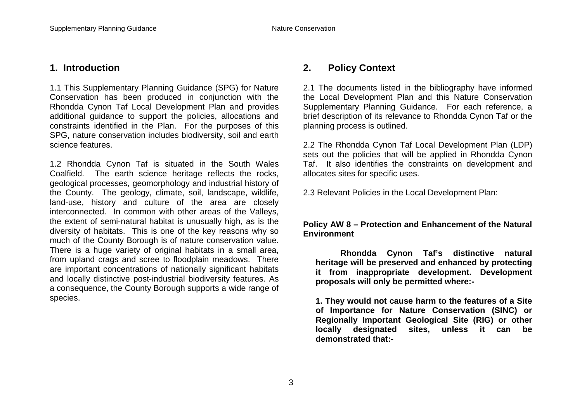### **1. Introduction**

1.1 This Supplementary Planning Guidance (SPG) for Nature Conservation has been produced in conjunction with the Rhondda Cynon Taf Local Development Plan and provides additional guidance to support the policies, allocations and constraints identified in the Plan. For the purposes of this SPG, nature conservation includes biodiversity, soil and earth science features.

1.2 Rhondda Cynon Taf is situated in the South Wales Coalfield. The earth science heritage reflects the rocks, geological processes, geomorphology and industrial history of the County. The geology, climate, soil, landscape, wildlife, land-use, history and culture of the area are closely interconnected. In common with other areas of the Valleys, the extent of semi-natural habitat is unusually high, as is the diversity of habitats. This is one of the key reasons why so much of the County Borough is of nature conservation value. There is a huge variety of original habitats in a small area, from upland crags and scree to floodplain meadows. There are important concentrations of nationally significant habitats and locally distinctive post-industrial biodiversity features. As a consequence, the County Borough supports a wide range of species.

## **2. Policy Context**

2.1 The documents listed in the bibliography have informed the Local Development Plan and this Nature Conservation Supplementary Planning Guidance. For each reference, a brief description of its relevance to Rhondda Cynon Taf or the planning process is outlined.

2.2 The Rhondda Cynon Taf Local Development Plan (LDP) sets out the policies that will be applied in Rhondda Cynon Taf. It also identifies the constraints on development and allocates sites for specific uses.

2.3 Relevant Policies in the Local Development Plan:

#### **Policy AW 8 – Protection and Enhancement of the Natural Environment**

**Rhondda Cynon Taf's distinctive natural heritage will be preserved and enhanced by protecting it from inappropriate development. Development proposals will only be permitted where:-**

**1. They would not cause harm to the features of a Site of Importance for Nature Conservation (SINC) or Regionally Important Geological Site (RIG) or other locally designated sites, unless it can be demonstrated that:-**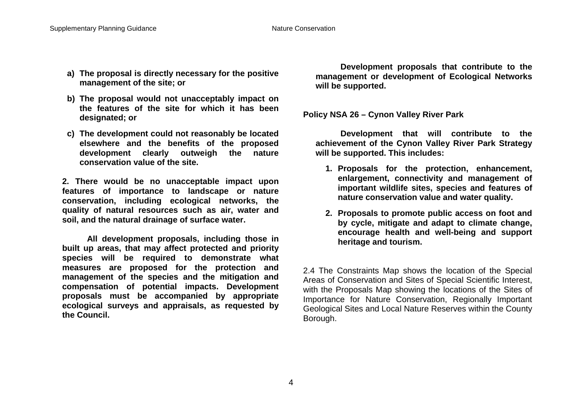- **a) The proposal is directly necessary for the positive management of the site; or**
- **b) The proposal would not unacceptably impact on the features of the site for which it has been designated; or**
- **c) The development could not reasonably be located elsewhere and the benefits of the proposed development clearly outweigh the nature conservation value of the site.**

**2. There would be no unacceptable impact upon features of importance to landscape or nature conservation, including ecological networks, the quality of natural resources such as air, water and soil, and the natural drainage of surface water.**

**All development proposals, including those in built up areas, that may affect protected and priority species will be required to demonstrate what measures are proposed for the protection and management of the species and the mitigation and compensation of potential impacts. Development proposals must be accompanied by appropriate ecological surveys and appraisals, as requested by the Council.** 

**Development proposals that contribute to the management or development of Ecological Networks will be supported.**

**Policy NSA 26 – Cynon Valley River Park**

**Development that will contribute to the achievement of the Cynon Valley River Park Strategy will be supported. This includes:**

- **1. Proposals for the protection, enhancement, enlargement, connectivity and management of important wildlife sites, species and features of nature conservation value and water quality.**
- **2. Proposals to promote public access on foot and by cycle, mitigate and adapt to climate change, encourage health and well-being and support heritage and tourism.**

2.4 The Constraints Map shows the location of the Special Areas of Conservation and Sites of Special Scientific Interest, with the Proposals Map showing the locations of the Sites of Importance for Nature Conservation, Regionally Important Geological Sites and Local Nature Reserves within the County Borough.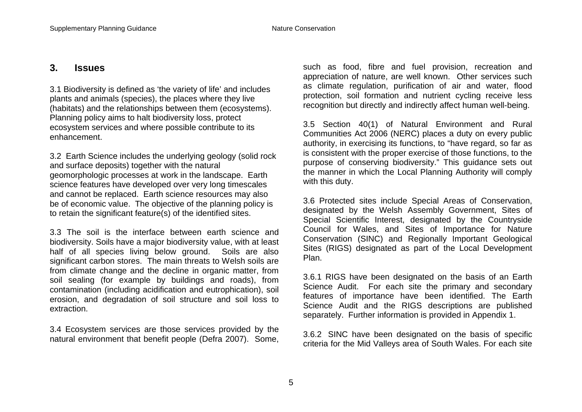#### **3. Issues**

3.1 Biodiversity is defined as 'the variety of life' and includes plants and animals (species), the places where they live (habitats) and the relationships between them (ecosystems). Planning policy aims to halt biodiversity loss, protect ecosystem services and where possible contribute to its enhancement.

3.2 Earth Science includes the underlying geology (solid rock and surface deposits) together with the natural geomorphologic processes at work in the landscape. Earth science features have developed over very long timescales and cannot be replaced. Earth science resources may also be of economic value. The objective of the planning policy is to retain the significant feature(s) of the identified sites.

3.3 The soil is the interface between earth science and biodiversity. Soils have a major biodiversity value, with at least half of all species living below ground. Soils are also significant carbon stores. The main threats to Welsh soils are from climate change and the decline in organic matter, from soil sealing (for example by buildings and roads), from contamination (including acidification and eutrophication), soil erosion, and degradation of soil structure and soil loss to extraction.

3.4 Ecosystem services are those services provided by the natural environment that benefit people (Defra 2007). Some, such as food, fibre and fuel provision, recreation and appreciation of nature, are well known. Other services such as climate regulation, purification of air and water, flood protection, soil formation and nutrient cycling receive less recognition but directly and indirectly affect human well-being.

3.5 Section 40(1) of Natural Environment and Rural Communities Act 2006 (NERC) places a duty on every public authority, in exercising its functions, to "have regard, so far as is consistent with the proper exercise of those functions, to the purpose of conserving biodiversity." This guidance sets out the manner in which the Local Planning Authority will comply with this duty.

3.6 Protected sites include Special Areas of Conservation, designated by the Welsh Assembly Government, Sites of Special Scientific Interest, designated by the Countryside Council for Wales, and Sites of Importance for Nature Conservation (SINC) and Regionally Important Geological Sites (RIGS) designated as part of the Local Development Plan.

3.6.1 RIGS have been designated on the basis of an Earth Science Audit. For each site the primary and secondary features of importance have been identified. The Earth Science Audit and the RIGS descriptions are published separately. Further information is provided in Appendix 1.

3.6.2 SINC have been designated on the basis of specific criteria for the Mid Valleys area of South Wales. For each site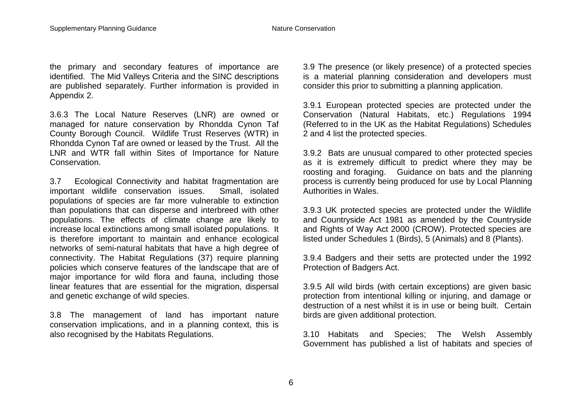the primary and secondary features of importance are identified. The Mid Valleys Criteria and the SINC descriptions are published separately. Further information is provided in Appendix 2.

3.6.3 The Local Nature Reserves (LNR) are owned or managed for nature conservation by Rhondda Cynon Taf County Borough Council. Wildlife Trust Reserves (WTR) in Rhondda Cynon Taf are owned or leased by the Trust. All the LNR and WTR fall within Sites of Importance for Nature Conservation.

3.7 Ecological Connectivity and habitat fragmentation are important wildlife conservation issues. Small, isolated populations of species are far more vulnerable to extinction than populations that can disperse and interbreed with other populations. The effects of climate change are likely to increase local extinctions among small isolated populations. It is therefore important to maintain and enhance ecological networks of semi-natural habitats that have a high degree of connectivity. The Habitat Regulations (37) require planning policies which conserve features of the landscape that are of major importance for wild flora and fauna, including those linear features that are essential for the migration, dispersal and genetic exchange of wild species.

3.8 The management of land has important nature conservation implications, and in a planning context, this is also recognised by the Habitats Regulations.

3.9 The presence (or likely presence) of a protected species is a material planning consideration and developers must consider this prior to submitting a planning application.

3.9.1 European protected species are protected under the Conservation (Natural Habitats, etc.) Regulations 1994 (Referred to in the UK as the Habitat Regulations) Schedules 2 and 4 list the protected species.

3.9.2 Bats are unusual compared to other protected species as it is extremely difficult to predict where they may be roosting and foraging. Guidance on bats and the planning process is currently being produced for use by Local Planning Authorities in Wales.

3.9.3 UK protected species are protected under the Wildlife and Countryside Act 1981 as amended by the Countryside and Rights of Way Act 2000 (CROW). Protected species are listed under Schedules 1 (Birds), 5 (Animals) and 8 (Plants).

3.9.4 Badgers and their setts are protected under the 1992 Protection of Badgers Act.

3.9.5 All wild birds (with certain exceptions) are given basic protection from intentional killing or injuring, and damage or destruction of a nest whilst it is in use or being built. Certain birds are given additional protection.

3.10 Habitats and Species; The Welsh Assembly Government has published a list of habitats and species of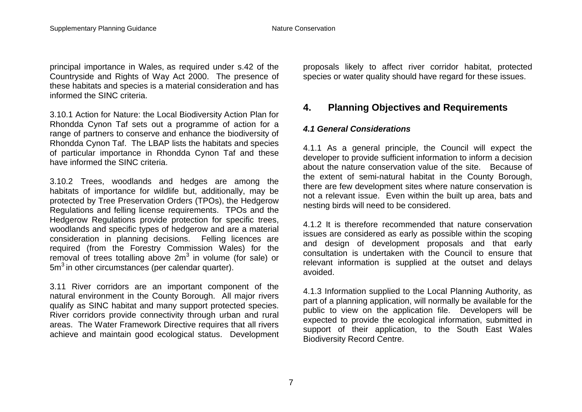principal importance in Wales, as required under s.42 of the Countryside and Rights of Way Act 2000. The presence of these habitats and species is a material consideration and has informed the SINC criteria.

3.10.1 Action for Nature: the Local Biodiversity Action Plan for Rhondda Cynon Taf sets out a programme of action for a range of partners to conserve and enhance the biodiversity of Rhondda Cynon Taf. The LBAP lists the habitats and species of particular importance in Rhondda Cynon Taf and these have informed the SINC criteria.

3.10.2 Trees, woodlands and hedges are among the habitats of importance for wildlife but, additionally, may be protected by Tree Preservation Orders (TPOs), the Hedgerow Regulations and felling license requirements. TPOs and the Hedgerow Regulations provide protection for specific trees, woodlands and specific types of hedgerow and are a material consideration in planning decisions. Felling licences are required (from the Forestry Commission Wales) for the removal of trees totalling above  $2m<sup>3</sup>$  in volume (for sale) or  $5m<sup>3</sup>$  in other circumstances (per calendar quarter).

3.11 River corridors are an important component of the natural environment in the County Borough. All major rivers qualify as SINC habitat and many support protected species. River corridors provide connectivity through urban and rural areas. The Water Framework Directive requires that all rivers achieve and maintain good ecological status. Development proposals likely to affect river corridor habitat, protected species or water quality should have regard for these issues.

# **4. Planning Objectives and Requirements**

#### *4.1 General Considerations*

4.1.1 As a general principle, the Council will expect the developer to provide sufficient information to inform a decision about the nature conservation value of the site. Because of the extent of semi-natural habitat in the County Borough, there are few development sites where nature conservation is not a relevant issue. Even within the built up area, bats and nesting birds will need to be considered.

4.1.2 It is therefore recommended that nature conservation issues are considered as early as possible within the scoping and design of development proposals and that early consultation is undertaken with the Council to ensure that relevant information is supplied at the outset and delays avoided.

4.1.3 Information supplied to the Local Planning Authority, as part of a planning application, will normally be available for the public to view on the application file. Developers will be expected to provide the ecological information, submitted in support of their application, to the South East Wales Biodiversity Record Centre.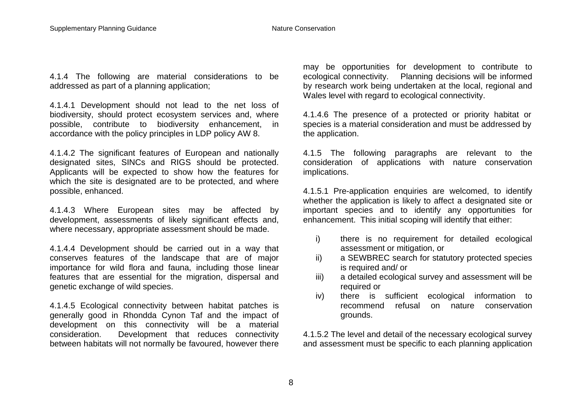4.1.4 The following are material considerations to be addressed as part of a planning application;

4.1.4.1 Development should not lead to the net loss of biodiversity, should protect ecosystem services and, where possible, contribute to biodiversity enhancement, in accordance with the policy principles in LDP policy AW 8.

4.1.4.2 The significant features of European and nationally designated sites, SINCs and RIGS should be protected. Applicants will be expected to show how the features for which the site is designated are to be protected, and where possible, enhanced.

4.1.4.3 Where European sites may be affected by development, assessments of likely significant effects and, where necessary, appropriate assessment should be made.

4.1.4.4 Development should be carried out in a way that conserves features of the landscape that are of major importance for wild flora and fauna, including those linear features that are essential for the migration, dispersal and genetic exchange of wild species.

4.1.4.5 Ecological connectivity between habitat patches is generally good in Rhondda Cynon Taf and the impact of development on this connectivity will be a material consideration. Development that reduces connectivity between habitats will not normally be favoured, however there

may be opportunities for development to contribute to ecological connectivity. Planning decisions will be informed by research work being undertaken at the local, regional and Wales level with regard to ecological connectivity.

4.1.4.6 The presence of a protected or priority habitat or species is a material consideration and must be addressed by the application.

4.1.5 The following paragraphs are relevant to the consideration of applications with nature conservation implications.

4.1.5.1 Pre-application enquiries are welcomed, to identify whether the application is likely to affect a designated site or important species and to identify any opportunities for enhancement. This initial scoping will identify that either:

- i) there is no requirement for detailed ecological assessment or mitigation, or
- ii) a SEWBREC search for statutory protected species is required and/ or
- iii) a detailed ecological survey and assessment will be required or
- iv) there is sufficient ecological information to recommend refusal on nature conservation grounds.

4.1.5.2 The level and detail of the necessary ecological survey and assessment must be specific to each planning application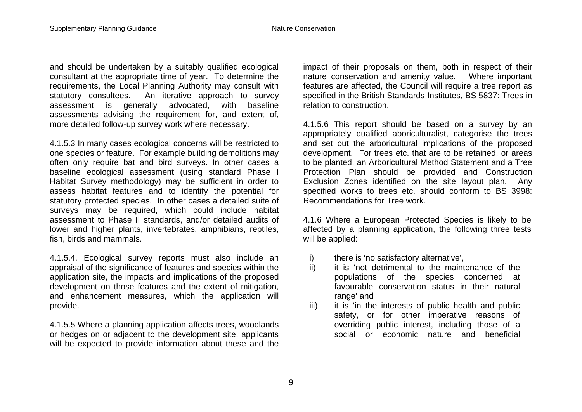and should be undertaken by a suitably qualified ecological consultant at the appropriate time of year. To determine the requirements, the Local Planning Authority may consult with statutory consultees. An iterative approach to survey assessment is generally advocated, with baseline assessments advising the requirement for, and extent of, more detailed follow-up survey work where necessary.

4.1.5.3 In many cases ecological concerns will be restricted to one species or feature. For example building demolitions may often only require bat and bird surveys. In other cases a baseline ecological assessment (using standard Phase I Habitat Survey methodology) may be sufficient in order to assess habitat features and to identify the potential for statutory protected species. In other cases a detailed suite of surveys may be required, which could include habitat assessment to Phase II standards, and/or detailed audits of lower and higher plants, invertebrates, amphibians, reptiles, fish, birds and mammals.

4.1.5.4. Ecological survey reports must also include an appraisal of the significance of features and species within the application site, the impacts and implications of the proposed development on those features and the extent of mitigation, and enhancement measures, which the application will provide.

4.1.5.5 Where a planning application affects trees, woodlands or hedges on or adjacent to the development site, applicants will be expected to provide information about these and the impact of their proposals on them, both in respect of their nature conservation and amenity value. Where important features are affected, the Council will require a tree report as specified in the British Standards Institutes, BS 5837: Trees in relation to construction.

4.1.5.6 This report should be based on a survey by an appropriately qualified aboriculturalist, categorise the trees and set out the arboricultural implications of the proposed development. For trees etc. that are to be retained, or areas to be planted, an Arboricultural Method Statement and a Tree Protection Plan should be provided and Construction Exclusion Zones identified on the site layout plan. Any specified works to trees etc. should conform to BS 3998: Recommendations for Tree work.

4.1.6 Where a European Protected Species is likely to be affected by a planning application, the following three tests will be applied:

- i) there is 'no satisfactory alternative',
- ii) it is 'not detrimental to the maintenance of the populations of the species concerned at favourable conservation status in their natural range' and
- iii) it is 'in the interests of public health and public safety, or for other imperative reasons of overriding public interest, including those of a social or economic nature and beneficial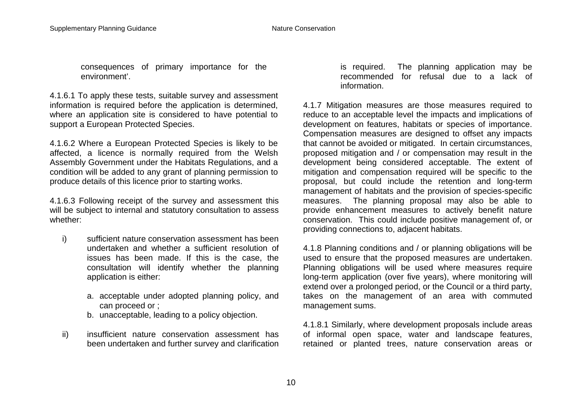consequences of primary importance for the environment'.

4.1.6.1 To apply these tests, suitable survey and assessment information is required before the application is determined, where an application site is considered to have potential to support a European Protected Species.

4.1.6.2 Where a European Protected Species is likely to be affected, a licence is normally required from the Welsh Assembly Government under the Habitats Regulations, and a condition will be added to any grant of planning permission to produce details of this licence prior to starting works.

4.1.6.3 Following receipt of the survey and assessment this will be subject to internal and statutory consultation to assess whether:

- i) sufficient nature conservation assessment has been undertaken and whether a sufficient resolution of issues has been made. If this is the case, the consultation will identify whether the planning application is either:
	- a. acceptable under adopted planning policy, and can proceed or ;
	- b. unacceptable, leading to a policy objection.
- ii) insufficient nature conservation assessment has been undertaken and further survey and clarification

is required. The planning application may be recommended for refusal due to a lack of information.

4.1.7 Mitigation measures are those measures required to reduce to an acceptable level the impacts and implications of development on features, habitats or species of importance. Compensation measures are designed to offset any impacts that cannot be avoided or mitigated. In certain circumstances, proposed mitigation and / or compensation may result in the development being considered acceptable. The extent of mitigation and compensation required will be specific to the proposal, but could include the retention and long-term management of habitats and the provision of species-specific measures. The planning proposal may also be able to provide enhancement measures to actively benefit nature conservation. This could include positive management of, or providing connections to, adjacent habitats.

4.1.8 Planning conditions and / or planning obligations will be used to ensure that the proposed measures are undertaken. Planning obligations will be used where measures require long-term application (over five years), where monitoring will extend over a prolonged period, or the Council or a third party, takes on the management of an area with commuted management sums.

4.1.8.1 Similarly, where development proposals include areas of informal open space, water and landscape features, retained or planted trees, nature conservation areas or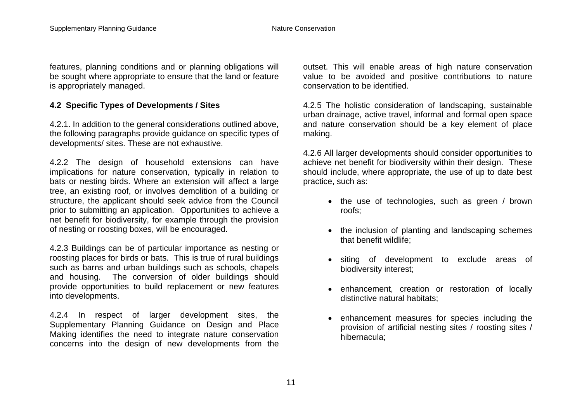features, planning conditions and or planning obligations will be sought where appropriate to ensure that the land or feature is appropriately managed.

#### **4.2 Specific Types of Developments / Sites**

4.2.1. In addition to the general considerations outlined above, the following paragraphs provide guidance on specific types of developments/ sites. These are not exhaustive.

4.2.2 The design of household extensions can have implications for nature conservation, typically in relation to bats or nesting birds. Where an extension will affect a large tree, an existing roof, or involves demolition of a building or structure, the applicant should seek advice from the Council prior to submitting an application. Opportunities to achieve a net benefit for biodiversity, for example through the provision of nesting or roosting boxes, will be encouraged.

4.2.3 Buildings can be of particular importance as nesting or roosting places for birds or bats. This is true of rural buildings such as barns and urban buildings such as schools, chapels and housing. The conversion of older buildings should provide opportunities to build replacement or new features into developments.

4.2.4 In respect of larger development sites, the Supplementary Planning Guidance on Design and Place Making identifies the need to integrate nature conservation concerns into the design of new developments from the outset. This will enable areas of high nature conservation value to be avoided and positive contributions to nature conservation to be identified.

4.2.5 The holistic consideration of landscaping, sustainable urban drainage, active travel, informal and formal open space and nature conservation should be a key element of place making.

4.2.6 All larger developments should consider opportunities to achieve net benefit for biodiversity within their design. These should include, where appropriate, the use of up to date best practice, such as:

- the use of technologies, such as green / brown roofs;
- the inclusion of planting and landscaping schemes that benefit wildlife;
- siting of development to exclude areas of biodiversity interest;
- enhancement, creation or restoration of locally distinctive natural habitats;
- enhancement measures for species including the provision of artificial nesting sites / roosting sites / hibernacula;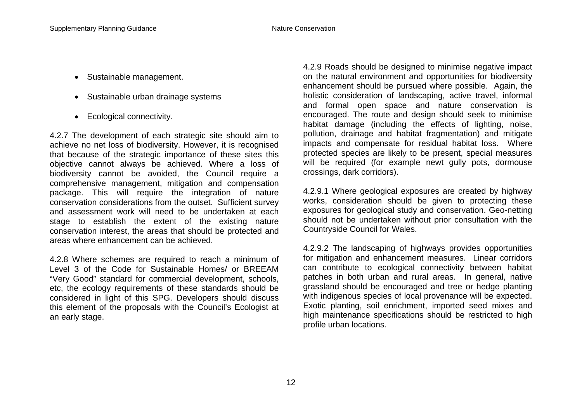- Sustainable management.
- Sustainable urban drainage systems
- Ecological connectivity.

4.2.7 The development of each strategic site should aim to achieve no net loss of biodiversity. However, it is recognised that because of the strategic importance of these sites this objective cannot always be achieved. Where a loss of biodiversity cannot be avoided, the Council require a comprehensive management, mitigation and compensation package. This will require the integration of nature conservation considerations from the outset. Sufficient survey and assessment work will need to be undertaken at each stage to establish the extent of the existing nature conservation interest, the areas that should be protected and areas where enhancement can be achieved.

4.2.8 Where schemes are required to reach a minimum of Level 3 of the Code for Sustainable Homes/ or BREEAM "Very Good" standard for commercial development, schools, etc, the ecology requirements of these standards should be considered in light of this SPG. Developers should discuss this element of the proposals with the Council's Ecologist at an early stage.

4.2.9 Roads should be designed to minimise negative impact on the natural environment and opportunities for biodiversity enhancement should be pursued where possible. Again, the holistic consideration of landscaping, active travel, informal and formal open space and nature conservation is encouraged. The route and design should seek to minimise habitat damage (including the effects of lighting, noise, pollution, drainage and habitat fragmentation) and mitigate impacts and compensate for residual habitat loss. Where protected species are likely to be present, special measures will be required (for example newt gully pots, dormouse crossings, dark corridors).

4.2.9.1 Where geological exposures are created by highway works, consideration should be given to protecting these exposures for geological study and conservation. Geo-netting should not be undertaken without prior consultation with the Countryside Council for Wales.

4.2.9.2 The landscaping of highways provides opportunities for mitigation and enhancement measures. Linear corridors can contribute to ecological connectivity between habitat patches in both urban and rural areas. In general, native grassland should be encouraged and tree or hedge planting with indigenous species of local provenance will be expected. Exotic planting, soil enrichment, imported seed mixes and high maintenance specifications should be restricted to high profile urban locations.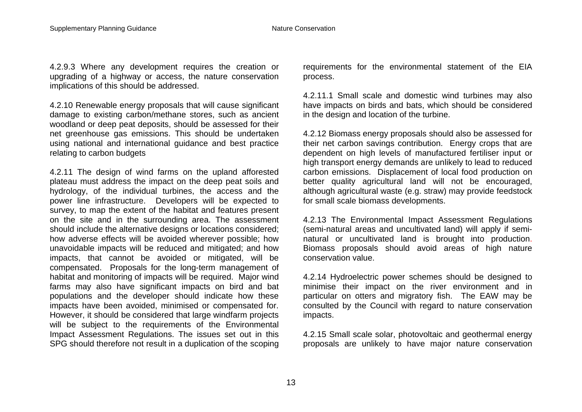4.2.9.3 Where any development requires the creation or upgrading of a highway or access, the nature conservation implications of this should be addressed.

4.2.10 Renewable energy proposals that will cause significant damage to existing carbon/methane stores, such as ancient woodland or deep peat deposits, should be assessed for their net greenhouse gas emissions. This should be undertaken using national and international guidance and best practice relating to carbon budgets

4.2.11 The design of wind farms on the upland afforested plateau must address the impact on the deep peat soils and hydrology, of the individual turbines, the access and the power line infrastructure. Developers will be expected to survey, to map the extent of the habitat and features present on the site and in the surrounding area. The assessment should include the alternative designs or locations considered; how adverse effects will be avoided wherever possible; how unavoidable impacts will be reduced and mitigated; and how impacts, that cannot be avoided or mitigated, will be compensated. Proposals for the long-term management of habitat and monitoring of impacts will be required. Major wind farms may also have significant impacts on bird and bat populations and the developer should indicate how these impacts have been avoided, minimised or compensated for. However, it should be considered that large windfarm projects will be subject to the requirements of the Environmental Impact Assessment Regulations. The issues set out in this SPG should therefore not result in a duplication of the scoping

requirements for the environmental statement of the EIA process.

4.2.11.1 Small scale and domestic wind turbines may also have impacts on birds and bats, which should be considered in the design and location of the turbine.

4.2.12 Biomass energy proposals should also be assessed for their net carbon savings contribution. Energy crops that are dependent on high levels of manufactured fertiliser input or high transport energy demands are unlikely to lead to reduced carbon emissions. Displacement of local food production on better quality agricultural land will not be encouraged, although agricultural waste (e.g. straw) may provide feedstock for small scale biomass developments.

4.2.13 The Environmental Impact Assessment Regulations (semi-natural areas and uncultivated land) will apply if seminatural or uncultivated land is brought into production. Biomass proposals should avoid areas of high nature conservation value.

4.2.14 Hydroelectric power schemes should be designed to minimise their impact on the river environment and in particular on otters and migratory fish. The EAW may be consulted by the Council with regard to nature conservation impacts.

4.2.15 Small scale solar, photovoltaic and geothermal energy proposals are unlikely to have major nature conservation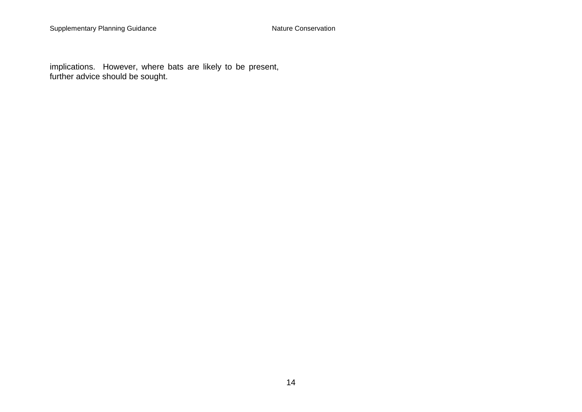implications. However, where bats are likely to be present, further advice should be sought.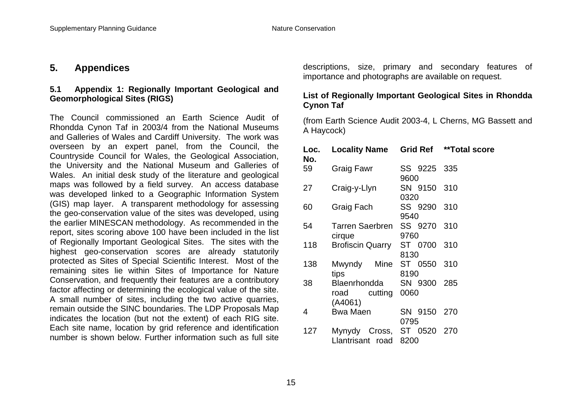#### **5. Appendices**

#### **5.1 Appendix 1: Regionally Important Geological and Geomorphological Sites (RIGS)**

The Council commissioned an Earth Science Audit of Rhondda Cynon Taf in 2003/4 from the National Museums and Galleries of Wales and Cardiff University. The work was overseen by an expert panel, from the Council, the Countryside Council for Wales, the Geological Association, the University and the National Museum and Galleries of Wales. An initial desk study of the literature and geological maps was followed by a field survey. An access database was developed linked to a Geographic Information System (GIS) map layer. A transparent methodology for assessing the geo-conservation value of the sites was developed, using the earlier MINESCAN methodology. As recommended in the report, sites scoring above 100 have been included in the list of Regionally Important Geological Sites. The sites with the highest geo-conservation scores are already statutorily protected as Sites of Special Scientific Interest. Most of the remaining sites lie within Sites of Importance for Nature Conservation, and frequently their features are a contributory factor affecting or determining the ecological value of the site. A small number of sites, including the two active quarries, remain outside the SINC boundaries. The LDP Proposals Map indicates the location (but not the extent) of each RIG site. Each site name, location by grid reference and identification number is shown below. Further information such as full site

descriptions, size, primary and secondary features of importance and photographs are available on request.

#### **List of Regionally Important Geological Sites in Rhondda Cynon Taf**

(from Earth Science Audit 2003-4, L Cherns, MG Bassett and A Haycock)

| Loc.<br>No. | <b>Locality Name Grid Ref</b>                 |                          | **Total score |
|-------------|-----------------------------------------------|--------------------------|---------------|
| 59          | Graig Fawr                                    | SS 9225 335<br>9600      |               |
| 27          | Craig-y-Llyn                                  | SN 9150 310<br>0320      |               |
| 60          | Graig Fach                                    | SS 9290 310<br>9540      |               |
| 54          | Tarren Saerbren SS 9270 310<br>cirque         | 9760                     |               |
| 118         | Brofiscin Quarry ST 0700 310                  | 8130                     |               |
| 138         | Mwyndy<br>tips                                | Mine ST 0550 310<br>8190 |               |
| 38          | Blaenrhondda<br>road cutting<br>(A4061)       | SN 9300 285<br>0060      |               |
| 4           | <b>Bwa Maen</b>                               | SN 9150 270<br>0795      |               |
| 127         | Mynydy Cross, ST 0520 270<br>Llantrisant road | 8200                     |               |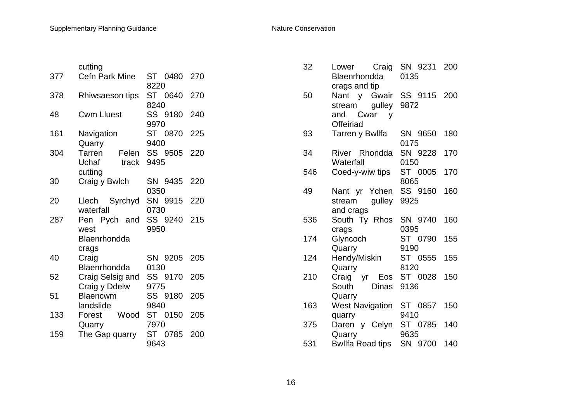|     | cutting                                                   |                     |     |
|-----|-----------------------------------------------------------|---------------------|-----|
| 377 | <b>Cefn Park Mine</b>                                     | ST 0480 270<br>8220 |     |
| 378 | Rhiwsaeson tips                                           | ST 0640 270<br>8240 |     |
| 48  | <b>Cwm Lluest</b>                                         | SS 9180 240<br>9970 |     |
| 161 | Navigation<br>Quarry                                      | ST 0870<br>9400     | 225 |
| 304 | Tarren<br>Felen<br>Uchaf<br>track<br>cutting              | SS 9505 220<br>9495 |     |
| 30  | Craig y Bwlch                                             | SN 9435 220<br>0350 |     |
| 20  | Llech Syrchyd<br>waterfall                                | SN 9915 220<br>0730 |     |
| 287 | Pen Pych and SS 9240 215<br>west<br>Blaenrhondda<br>crags | 9950                |     |
| 40  | Craig<br>Blaenrhondda                                     | SN 9205 205<br>0130 |     |
| 52  | Craig Selsig and<br>Craig y Ddelw                         | SS 9170 205<br>9775 |     |
| 51  | Blaencwm<br>landslide                                     | SS 9180 205<br>9840 |     |
| 133 | Wood<br>Forest<br>Quarry                                  | ST 0150<br>7970     | 205 |
| 159 | The Gap quarry                                            | ST 0785<br>9643     | 200 |

| Lower Craig             | SN 9231<br>200<br>0135                                                                                                                                                                                                                                                      |
|-------------------------|-----------------------------------------------------------------------------------------------------------------------------------------------------------------------------------------------------------------------------------------------------------------------------|
|                         |                                                                                                                                                                                                                                                                             |
|                         | SS 9115 200                                                                                                                                                                                                                                                                 |
|                         | 9872                                                                                                                                                                                                                                                                        |
|                         |                                                                                                                                                                                                                                                                             |
|                         |                                                                                                                                                                                                                                                                             |
|                         |                                                                                                                                                                                                                                                                             |
|                         | SN 9650<br>180                                                                                                                                                                                                                                                              |
|                         | 0175                                                                                                                                                                                                                                                                        |
|                         | SN 9228<br>170                                                                                                                                                                                                                                                              |
|                         | 0150                                                                                                                                                                                                                                                                        |
|                         | ST 0005<br>170                                                                                                                                                                                                                                                              |
|                         | 8065                                                                                                                                                                                                                                                                        |
|                         | SS 9160<br>160                                                                                                                                                                                                                                                              |
|                         | 9925                                                                                                                                                                                                                                                                        |
|                         |                                                                                                                                                                                                                                                                             |
|                         | SN 9740<br>160                                                                                                                                                                                                                                                              |
| crags                   | 0395                                                                                                                                                                                                                                                                        |
| Glyncoch                | ST 0790<br>155                                                                                                                                                                                                                                                              |
| Quarry                  | 9190                                                                                                                                                                                                                                                                        |
|                         | ST 0555<br>155                                                                                                                                                                                                                                                              |
| Quarry                  | 8120                                                                                                                                                                                                                                                                        |
| Craig yr Eos            | ST 0028<br>150                                                                                                                                                                                                                                                              |
| South<br>Dinas          | 9136                                                                                                                                                                                                                                                                        |
| Quarry                  |                                                                                                                                                                                                                                                                             |
| <b>West Navigation</b>  | ST 0857<br>150                                                                                                                                                                                                                                                              |
| quarry                  | 9410                                                                                                                                                                                                                                                                        |
|                         | ST<br>0785<br>140                                                                                                                                                                                                                                                           |
|                         | 9635                                                                                                                                                                                                                                                                        |
| <b>Bwllfa Road tips</b> | SN 9700<br>140                                                                                                                                                                                                                                                              |
|                         | Blaenrhondda<br>crags and tip<br>Nant y Gwair<br>gulley<br>stream<br>and Cwar y<br>Offeiriad<br>Tarren y Bwllfa<br>River Rhondda<br>Waterfall<br>Coed-y-wiw tips<br>Nant yr Ychen<br>stream gulley<br>and crags<br>South Ty Rhos<br>Hendy/Miskin<br>Daren y Celyn<br>Quarry |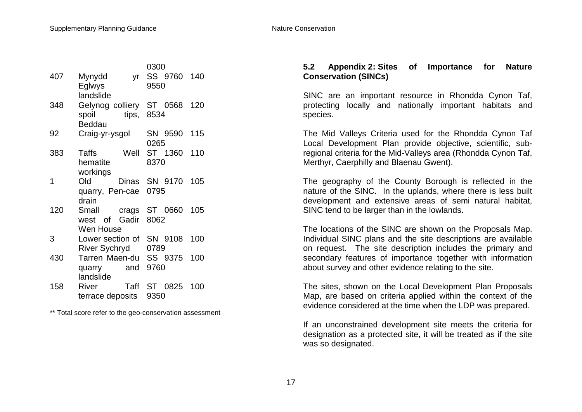|     |                          |       | 0300 |             |     |
|-----|--------------------------|-------|------|-------------|-----|
| 407 | Mynydd                   | yr    |      | SS 9760 140 |     |
|     | Eglwys                   |       | 9550 |             |     |
|     | landslide                |       |      |             |     |
| 348 | Gelynog colliery ST 0568 |       |      |             | 120 |
|     | spoil                    | tips, | 8534 |             |     |
|     | <b>Beddau</b>            |       |      |             |     |
| 92  | Craig-yr-ysgol           |       |      | SN 9590     | 115 |
|     |                          |       | 0265 |             |     |
| 383 | Well<br>Taffs            |       |      | ST 1360     | 110 |
|     | hematite                 |       | 8370 |             |     |
|     | workings                 |       |      |             |     |
| 1   | Old<br>Dinas             |       |      | SN 9170     | 105 |
|     | quarry, Pen-cae          |       | 0795 |             |     |
|     | drain                    |       |      |             |     |
| 120 | Small<br>crags           |       |      | ST 0660     | 105 |
|     | Gadir<br>west of         |       | 8062 |             |     |
|     | Wen House                |       |      |             |     |
| 3   | Lower section of         |       |      | SN 9108     | 100 |
|     | <b>River Sychryd</b>     |       | 0789 |             |     |
| 430 | Tarren Maen-du           |       |      | SS 9375     | 100 |
|     | quarry                   | and   | 9760 |             |     |
|     | landslide                |       |      |             |     |
| 158 | River                    | Taff  | ST   | 0825        | 100 |
|     | terrace deposits         |       | 9350 |             |     |

\*\* Total score refer to the geo-conservation assessment

#### **5.2 Appendix 2: Sites of Importance for Nature Conservation (SINCs)**

SINC are an important resource in Rhondda Cynon Taf, protecting locally and nationally important habitats and species.

The Mid Valleys Criteria used for the Rhondda Cynon Taf Local Development Plan provide objective, scientific, subregional criteria for the Mid-Valleys area (Rhondda Cynon Taf, Merthyr, Caerphilly and Blaenau Gwent).

The geography of the County Borough is reflected in the nature of the SINC. In the uplands, where there is less built development and extensive areas of semi natural habitat, SINC tend to be larger than in the lowlands.

The locations of the SINC are shown on the Proposals Map. Individual SINC plans and the site descriptions are available on request. The site description includes the primary and secondary features of importance together with information about survey and other evidence relating to the site.

The sites, shown on the Local Development Plan Proposals Map, are based on criteria applied within the context of the evidence considered at the time when the LDP was prepared.

If an unconstrained development site meets the criteria for designation as a protected site, it will be treated as if the site was so designated.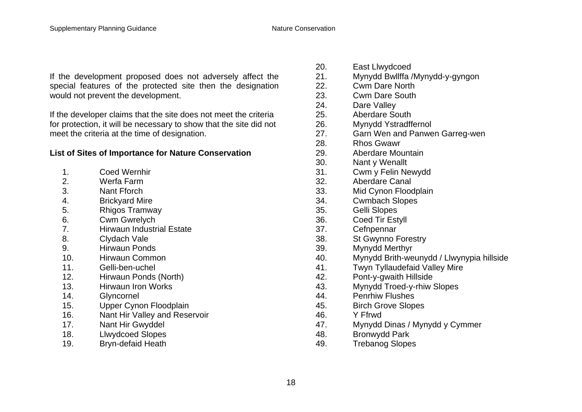If the development proposed does not adversely affect the special features of the protected site then the designation would not prevent the development.

If the developer claims that the site does not meet the criteria for protection, it will be necessary to show that the site did not meet the criteria at the time of designation.

#### **List of Sites of Importance for Nature Conservation**

- 1. Coed Wernhir
- 2. Werfa Farm
- 3. Nant Fforch
- 4. Brickyard Mire
- 5. Rhigos Tramway
- 6. Cwm Gwrelych
- 7. Hirwaun Industrial Estate
- 8. Clydach Vale
- 9. Hirwaun Ponds
- 10. Hirwaun Common
- 11. Gelli-ben-uchel
- 12. Hirwaun Ponds (North)
- 13. Hirwaun Iron Works
- 14. Glyncornel
- 15. Upper Cynon Floodplain
- 16. Nant Hir Valley and Reservoir
- 17. Nant Hir Gwyddel
- 18. Llwydcoed Slopes
- 19. Bryn-defaid Heath
- 20. East Llwydcoed
- 21. Mynydd Bwllffa /Mynydd-y-gyngon
- 22. Cwm Dare North
- 23. Cwm Dare South
- 24. Dare Valley
- 25. Aberdare South
- 26. Mynydd Ystradffernol
- 27. Garn Wen and Panwen Garreg-wen
- 28. Rhos Gwawr
- 29. Aberdare Mountain
- 30. Nant y Wenallt
- 31. Cwm y Felin Newydd
- 32. Aberdare Canal
- 33. Mid Cynon Floodplain
- 34. Cwmbach Slopes
- 35. Gelli Slopes
- 36. Coed Tir Estyll
- 37. Cefnpennar
- 38. St Gwynno Forestry
- 39. Mynydd Merthyr
- 40. Mynydd Brith-weunydd / Llwynypia hillside
- 41. Twyn Tyllaudefaid Valley Mire
- 42. Pont-y-gwaith Hillside
- 43. Mynydd Troed-y-rhiw Slopes
- 44. Penrhiw Flushes
- 45. Birch Grove Slopes
- 46. Y Ffrwd
- 47. Mynydd Dinas / Mynydd y Cymmer
- 48. Bronwydd Park
- 49. Trebanog Slopes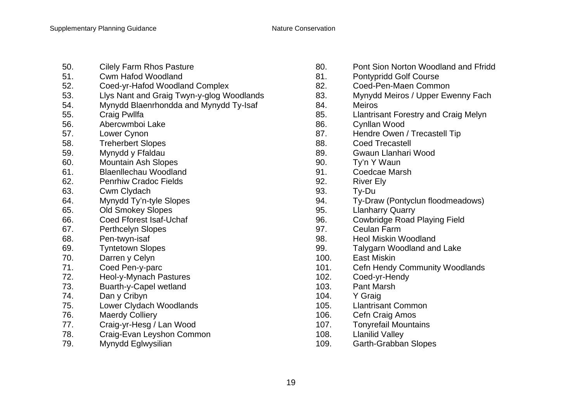- 50. Cilely Farm Rhos Pasture
- 51. Cwm Hafod Woodland
- 52. Coed-yr-Hafod Woodland Complex
- 53. Llys Nant and Graig Twyn-y-glog Woodlands
- 54. Mynydd Blaenrhondda and Mynydd Ty-Isaf
- 55. Craig Pwllfa
- 56. Abercwmboi Lake
- 57. Lower Cynon
- 58. Treherbert Slopes
- 59. Mynydd y Ffaldau
- 60. Mountain Ash Slopes
- 61. Blaenllechau Woodland
- 62. Penrhiw Cradoc Fields
- 63. Cwm Clydach
- 64. Mynydd Ty'n-tyle Slopes
- 65. Old Smokey Slopes
- 66. Coed Fforest Isaf-Uchaf
- 67. Perthcelyn Slopes
- 68. Pen-twyn-isaf
- 69. Tyntetown Slopes
- 70. Darren y Celyn
- 71. Coed Pen-y-parc
- 72. Heol-y-Mynach Pastures
- 73. Buarth-y-Capel wetland
- 74. Dan y Cribyn
- 75. Lower Clydach Woodlands
- 76. Maerdy Colliery
- 77. Craig-yr-Hesg / Lan Wood
- 78. Craig-Evan Leyshon Common
- 79. Mynydd Eglwysilian
- 80. Pont Sion Norton Woodland and Ffridd
- 81. Pontypridd Golf Course
- 82. Coed-Pen-Maen Common
- 83. Mynydd Meiros / Upper Ewenny Fach
- 84. Meiros
- 85. Llantrisant Forestry and Craig Melyn
- 86. Cynllan Wood
- 87. Hendre Owen / Trecastell Tip
- 88. Coed Trecastell
- 89. Gwaun Llanhari Wood
- 90. Ty'n Y Waun
- 91. Coedcae Marsh
- 92. River Ely
- 93. Ty-Du
- 94. Ty-Draw (Pontyclun floodmeadows)
- 95. Llanharry Quarry
- 96. Cowbridge Road Playing Field
- 97. Ceulan Farm
- 98. Heol Miskin Woodland
- 99. Talygarn Woodland and Lake
- 100. East Miskin
- 101. Cefn Hendy Community Woodlands
- 102. Coed-yr-Hendy
- 103. Pant Marsh
- 104. Y Graig
- 105. Llantrisant Common
- 106. Cefn Craig Amos
- 107. Tonyrefail Mountains
- 108. Llanilid Valley
- 109. Garth-Grabban Slopes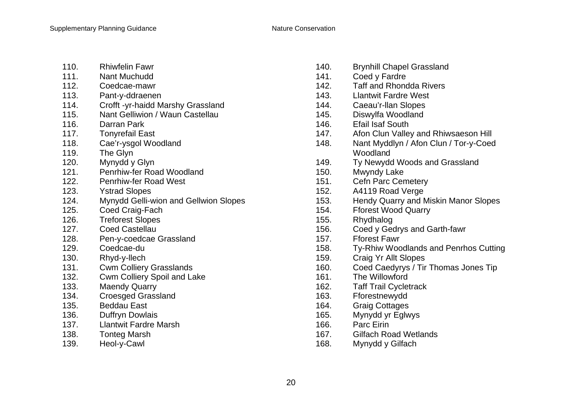- 110. Rhiwfelin Fawr
- 111. Nant Muchudd
- 112. Coedcae-mawr
- 113. Pant-y-ddraenen
- 114. Crofft -yr-haidd Marshy Grassland
- 115. Nant Gelliwion / Waun Castellau
- 116. Darran Park
- 117. Tonyrefail East
- 118. Cae'r-ysgol Woodland
- 119. The Glyn
- 120. Mynydd y Glyn
- 121. Penrhiw-fer Road Woodland
- 122. Penrhiw-fer Road West
- 123. Ystrad Slopes
- 124. Mynydd Gelli-wion and Gellwion Slopes
- 125. Coed Craig-Fach
- 126. Treforest Slopes
- 127. Coed Castellau
- 128. Pen-y-coedcae Grassland
- 129. Coedcae-du
- 130. Rhyd-y-llech
- 131. Cwm Colliery Grasslands
- 132. Cwm Colliery Spoil and Lake
- 133. Maendy Quarry
- 134. Croesged Grassland
- 135. Beddau East
- 136. Duffryn Dowlais
- 137. Llantwit Fardre Marsh
- 138. Tonteg Marsh
- 139. Heol-y-Cawl
- 140. Brynhill Chapel Grassland
- 141. Coed y Fardre
- 142. Taff and Rhondda Rivers
- 143. Llantwit Fardre West
- 144. Caeau'r-llan Slopes
- 145. Diswylfa Woodland
- 146. Efail Isaf South
- 147. Afon Clun Valley and Rhiwsaeson Hill
- 148. Nant Myddlyn / Afon Clun / Tor-y-Coed Woodland
- 149. Ty Newydd Woods and Grassland
- 150. Mwyndy Lake
- 151. Cefn Parc Cemetery
- 152. A4119 Road Verge
- 153. Hendy Quarry and Miskin Manor Slopes
- 154. Fforest Wood Quarry
- 155. Rhydhalog
- 156. Coed y Gedrys and Garth-fawr
- 157. Fforest Fawr
- 158. Ty-Rhiw Woodlands and Penrhos Cutting
- 159. Craig Yr Allt Slopes
- 160. Coed Caedyrys / Tir Thomas Jones Tip
- 161. The Willowford
- 162. Taff Trail Cycletrack
- 163. Fforestnewydd
- 164. Graig Cottages
- 165. Mynydd yr Eglwys
- 166. Parc Eirin
- 167. Gilfach Road Wetlands
- 168. Mynydd y Gilfach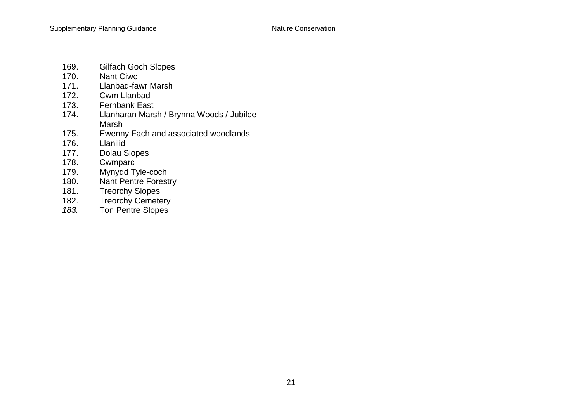- 169. Gilfach Goch Slopes<br>170. Nant Ciwc
- 170. Nant Ciwc<br>171. Llanbad-fay
- 171. Llanbad-fawr Marsh<br>172. Cwm Llanbad
- 172. Cwm Llanbad<br>173. Fernbank East
- Fernbank East
- 174. Llanharan Marsh / Brynna Woods / Jubilee Marsh
- 175. Ewenny Fach and associated woodlands<br>176. Llanilid
- 176. Llanilid<br>177. Dolau S
- Dolau Slopes
- 178. Cwmparc<br>179. Mynydd T
- Mynydd Tyle-coch
- 180. Nant Pentre Forestry<br>181. Treorchy Slopes
- 181. Treorchy Slopes<br>182. Treorchy Cemete
- **Treorchy Cemetery**
- *183.* Ton Pentre Slopes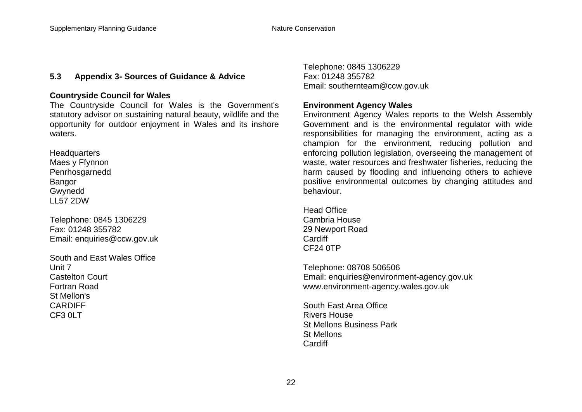#### **5.3 Appendix 3- Sources of Guidance & Advice**

#### **Countryside Council for Wales**

The Countryside Council for Wales is the Government's statutory advisor on sustaining natural beauty, wildlife and the opportunity for outdoor enjoyment in Wales and its inshore waters.

**Headquarters** Maes y Ffynnon Penrhosgarnedd Bangor Gwynedd LL57 2DW

Telephone: 0845 1306229 Fax: 01248 355782 Email: enquiries@ccw.gov.uk

South and East Wales Office Unit 7 Castelton Court Fortran Road St Mellon's CARDIFF  $CE3$   $0$ LT

Telephone: 0845 1306229 Fax: 01248 355782 Email: southernteam@ccw.gov.uk

#### **Environment Agency Wales**

Environment Agency Wales reports to the Welsh Assembly Government and is the environmental regulator with wide responsibilities for managing the environment, acting as a champion for the environment, reducing pollution and enforcing pollution legislation, overseeing the management of waste, water resources and freshwater fisheries, reducing the harm caused by flooding and influencing others to achieve positive environmental outcomes by changing attitudes and behaviour.

Head Office Cambria House 29 Newport Road **Cardiff** CF24 0TP

Telephone: 08708 506506 Email: enquiries@environment-agency.gov.uk www.environment-agency.wales.gov.uk

South East Area Office Rivers House St Mellons Business Park St Mellons Cardiff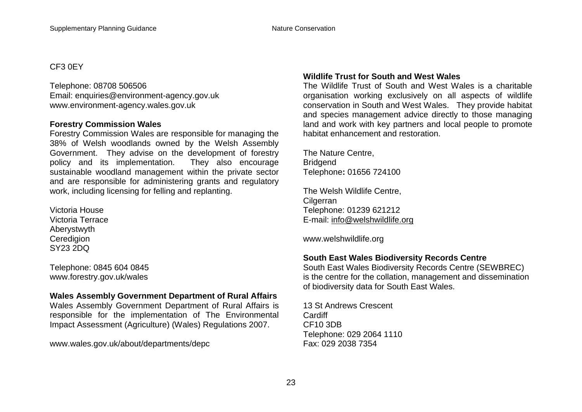#### CF3 0EY

Telephone: 08708 506506 Email: enquiries@environment-agency.gov.uk www.environment-agency.wales.gov.uk

#### **Forestry Commission Wales**

Forestry Commission Wales are responsible for managing the 38% of Welsh woodlands owned by the Welsh Assembly Government. They advise on the development of forestry policy and its implementation. They also encourage sustainable woodland management within the private sector and are responsible for administering grants and regulatory work, including licensing for felling and replanting.

Victoria House Victoria Terrace Aberystwyth **Ceredigion** SY23 2DQ

Telephone: 0845 604 0845 www.forestry.gov.uk/wales

#### **Wales Assembly Government Department of Rural Affairs**

Wales Assembly Government Department of Rural Affairs is responsible for the implementation of The Environmental Impact Assessment (Agriculture) (Wales) Regulations 2007.

www.wales.gov.uk/about/departments/depc

#### **Wildlife Trust for South and West Wales**

The Wildlife Trust of South and West Wales is a charitable organisation working exclusively on all aspects of wildlife conservation in South and West Wales. They provide habitat and species management advice directly to those managing land and work with key partners and local people to promote habitat enhancement and restoration.

The Nature Centre, **Bridgend** Telephone**:** 01656 724100

The Welsh Wildlife Centre, **Cilgerran** Telephone: 01239 621212 E-mail: info@welshwildlife.org

www.welshwildlife.org

#### **South East Wales Biodiversity Records Centre**

South East Wales Biodiversity Records Centre (SEWBREC) is the centre for the collation, management and dissemination of biodiversity data for South East Wales.

13 St Andrews Crescent **Cardiff** CF10 3DB Telephone: 029 2064 1110 Fax: 029 2038 7354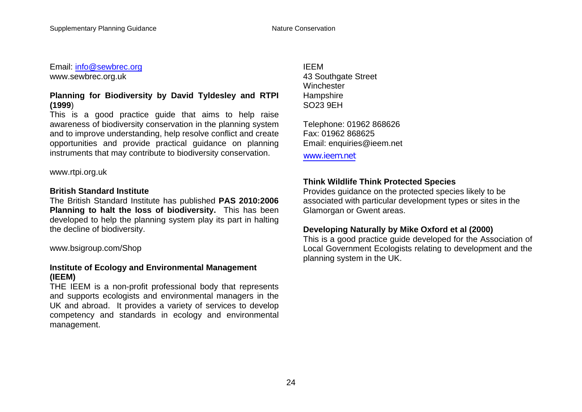Email: info@sewbrec.org www.sewbrec.org.uk

#### **Planning for Biodiversity by David Tyldesley and RTPI (1999**)

This is a good practice guide that aims to help raise awareness of biodiversity conservation in the planning system and to improve understanding, help resolve conflict and create opportunities and provide practical guidance on planning instruments that may contribute to biodiversity conservation.

www.rtpi.org.uk

#### **British Standard Institute**

The British Standard Institute has published **PAS 2010:2006 Planning to halt the loss of biodiversity.** This has been developed to help the planning system play its part in halting the decline of biodiversity.

www.bsigroup.com/Shop

#### **Institute of Ecology and Environmental Management (IEEM)**

THE IEEM is a non-profit professional body that represents and supports ecologists and environmental managers in the UK and abroad. It provides a variety of services to develop competency and standards in ecology and environmental management.

IEEM 43 Southgate Street **Winchester Hampshire** SO23 9EH

Telephone: 01962 868626 Fax: 01962 868625 Email: enquiries@ieem.net

www.ieem.net

#### **Think Wildlife Think Protected Species**

Provides guidance on the protected species likely to be associated with particular development types or sites in the Glamorgan or Gwent areas.

#### **Developing Naturally by Mike Oxford et al (2000)**

This is a good practice guide developed for the Association of Local Government Ecologists relating to development and the planning system in the UK.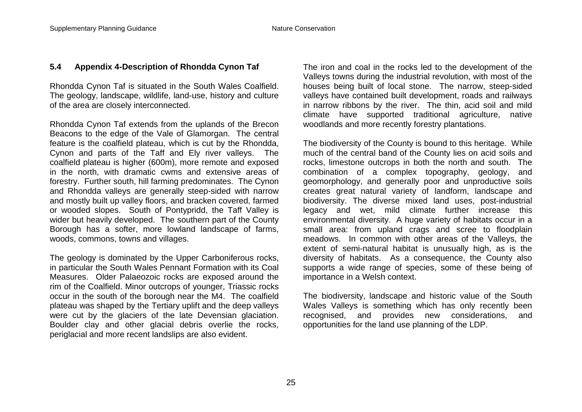#### **5.4 Appendix 4-Description of Rhondda Cynon Taf**

Rhondda Cynon Taf is situated in the South Wales Coalfield. The geology, landscape, wildlife, land-use, history and culture of the area are closely interconnected.

Rhondda Cynon Taf extends from the uplands of the Brecon Beacons to the edge of the Vale of Glamorgan. The central feature is the coalfield plateau, which is cut by the Rhondda, Cynon and parts of the Taff and Ely river valleys. The coalfield plateau is higher (600m), more remote and exposed in the north, with dramatic cwms and extensive areas of forestry. Further south, hill farming predominates. The Cynon and Rhondda valleys are generally steep-sided with narrow and mostly built up valley floors, and bracken covered, farmed or wooded slopes. South of Pontypridd, the Taff Valley is wider but heavily developed. The southern part of the County Borough has a softer, more lowland landscape of farms, woods, commons, towns and villages.

The geology is dominated by the Upper Carboniferous rocks, in particular the South Wales Pennant Formation with its Coal Measures. Older Palaeozoic rocks are exposed around the rim of the Coalfield. Minor outcrops of younger, Triassic rocks occur in the south of the borough near the M4. The coalfield plateau was shaped by the Tertiary uplift and the deep valleys were cut by the glaciers of the late Devensian glaciation. Boulder clay and other glacial debris overlie the rocks, periglacial and more recent landslips are also evident.

The iron and coal in the rocks led to the development of the Valleys towns during the industrial revolution, with most of the houses being built of local stone. The narrow, steep-sided valleys have contained built development, roads and railways in narrow ribbons by the river. The thin, acid soil and mild climate have supported traditional agriculture, native woodlands and more recently forestry plantations.

The biodiversity of the County is bound to this heritage. While much of the central band of the County lies on acid soils and rocks, limestone outcrops in both the north and south. The combination of a complex topography, geology, and geomorphology, and generally poor and unproductive soils creates great natural variety of landform, landscape and biodiversity. The diverse mixed land uses, post-industrial legacy and wet, mild climate further increase this environmental diversity. A huge variety of habitats occur in a small area: from upland crags and scree to floodplain meadows. In common with other areas of the Valleys, the extent of semi-natural habitat is unusually high, as is the diversity of habitats. As a consequence, the County also supports a wide range of species, some of these being of importance in a Welsh context.

The biodiversity, landscape and historic value of the South Wales Valleys is something which has only recently been recognised, and provides new considerations, and opportunities for the land use planning of the LDP.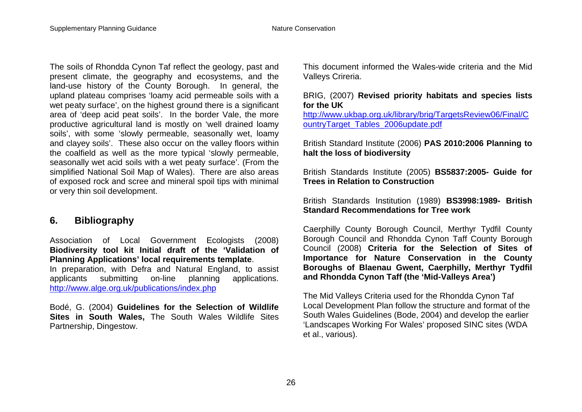The soils of Rhondda Cynon Taf reflect the geology, past and present climate, the geography and ecosystems, and the land-use history of the County Borough. In general, the upland plateau comprises 'loamy acid permeable soils with a wet peaty surface', on the highest ground there is a significant area of 'deep acid peat soils'. In the border Vale, the more productive agricultural land is mostly on 'well drained loamy soils', with some 'slowly permeable, seasonally wet, loamy and clayey soils'. These also occur on the valley floors within the coalfield as well as the more typical 'slowly permeable, seasonally wet acid soils with a wet peaty surface'. (From the simplified National Soil Map of Wales). There are also areas of exposed rock and scree and mineral spoil tips with minimal or very thin soil development.

#### **6. Bibliography**

Association of Local Government Ecologists (2008) **Biodiversity tool kit Initial draft of the 'Validation of Planning Applications' local requirements template**.

In preparation, with Defra and Natural England, to assist applicants submitting on-line planning applications. http://www.alge.org.uk/publications/index.php

Bodé, G. (2004) **Guidelines for the Selection of Wildlife Sites in South Wales,** The South Wales Wildlife Sites Partnership, Dingestow.

This document informed the Wales-wide criteria and the Mid Valleys Crireria.

#### BRIG, (2007) **Revised priority habitats and species lists for the UK**

http://www.ukbap.org.uk/library/brig/TargetsReview06/Final/C ountryTarget\_Tables\_2006update.pdf

British Standard Institute (2006) **PAS 2010:2006 Planning to halt the loss of biodiversity**

British Standards Institute (2005) **BS5837:2005- Guide for Trees in Relation to Construction**

British Standards Institution (1989) **BS3998:1989- British Standard Recommendations for Tree work**

Caerphilly County Borough Council, Merthyr Tydfil County Borough Council and Rhondda Cynon Taff County Borough Council (2008) **Criteria for the Selection of Sites of Importance for Nature Conservation in the County Boroughs of Blaenau Gwent, Caerphilly, Merthyr Tydfil and Rhondda Cynon Taff (the 'Mid-Valleys Area')**

The Mid Valleys Criteria used for the Rhondda Cynon Taf Local Development Plan follow the structure and format of the South Wales Guidelines (Bode, 2004) and develop the earlier 'Landscapes Working For Wales' proposed SINC sites (WDA et al., various).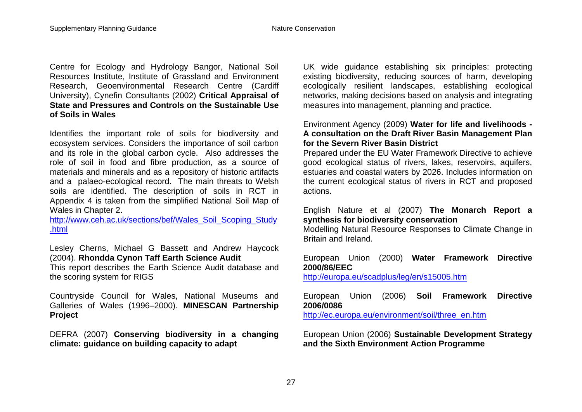Centre for Ecology and Hydrology Bangor, National Soil Resources Institute, Institute of Grassland and Environment Research, Geoenvironmental Research Centre (Cardiff University), Cynefin Consultants (2002) **Critical Appraisal of State and Pressures and Controls on the Sustainable Use of Soils in Wales**

Identifies the important role of soils for biodiversity and ecosystem services. Considers the importance of soil carbon and its role in the global carbon cycle. Also addresses the role of soil in food and fibre production, as a source of materials and minerals and as a repository of historic artifacts and a palaeo-ecological record. The main threats to Welsh soils are identified. The description of soils in RCT in Appendix 4 is taken from the simplified National Soil Map of Wales in Chapter 2.

http://www.ceh.ac.uk/sections/bef/Wales\_Soil\_Scoping\_Study .html

Lesley Cherns, Michael G Bassett and Andrew Haycock (2004). **Rhondda Cynon Taff Earth Science Audit**

This report describes the Earth Science Audit database and the scoring system for RIGS

Countryside Council for Wales, National Museums and Galleries of Wales (1996–2000). **MINESCAN Partnership Project**

DEFRA (2007) **Conserving biodiversity in a changing climate: guidance on building capacity to adapt**

UK wide guidance establishing six principles: protecting existing biodiversity, reducing sources of harm, developing ecologically resilient landscapes, establishing ecological networks, making decisions based on analysis and integrating measures into management, planning and practice.

#### Environment Agency (2009) **Water for life and livelihoods - A consultation on the Draft River Basin Management Plan for the Severn River Basin District**

Prepared under the EU Water Framework Directive to achieve good ecological status of rivers, lakes, reservoirs, aquifers, estuaries and coastal waters by 2026. Includes information on the current ecological status of rivers in RCT and proposed actions.

#### English Nature et al (2007) **The Monarch Report a synthesis for biodiversity conservation**

Modelling Natural Resource Responses to Climate Change in Britain and Ireland.

#### European Union (2000) **Water Framework Directive 2000/86/EEC**

http://europa.eu/scadplus/leg/en/s15005.htm

#### European Union (2006) **Soil Framework Directive 2006/0086**

http://ec.europa.eu/environment/soil/three\_en.htm

#### European Union (2006) **Sustainable Development Strategy and the Sixth Environment Action Programme**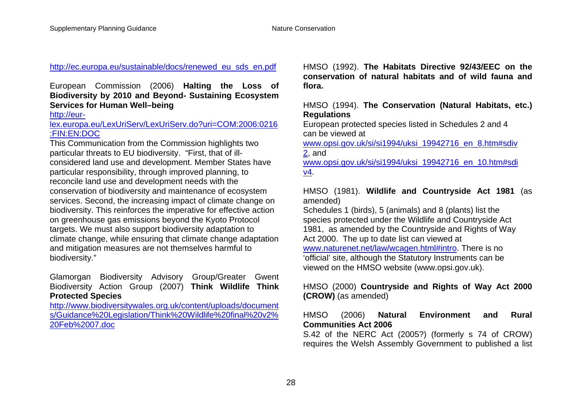http://ec.europa.eu/sustainable/docs/renewed\_eu\_sds\_en.pdf

#### European Commission (2006) **Halting the Loss of Biodiversity by 2010 and Beyond- Sustaining Ecosystem Services for Human Well–being**

http://eur-

#### lex.europa.eu/LexUriServ/LexUriServ.do?uri=COM:2006:0216 :FIN:EN:DOC

This Communication from the Commission highlights two particular threats to EU biodiversity. "First, that of illconsidered land use and development. Member States have particular responsibility, through improved planning, to reconcile land use and development needs with the conservation of biodiversity and maintenance of ecosystem services. Second, the increasing impact of climate change on biodiversity. This reinforces the imperative for effective action on greenhouse gas emissions beyond the Kyoto Protocol targets. We must also support biodiversity adaptation to climate change, while ensuring that climate change adaptation and mitigation measures are not themselves harmful to biodiversity."

#### Glamorgan Biodiversity Advisory Group/Greater Gwent Biodiversity Action Group (2007) **Think Wildlife Think Protected Species**

http://www.biodiversitywales.org.uk/content/uploads/document s/Guidance%20Legislation/Think%20Wildlife%20final%20v2% 20Feb%2007.doc

HMSO (1992). **The Habitats Directive 92/43/EEC on the conservation of natural habitats and of wild fauna and flora.**

#### HMSO (1994). **The Conservation (Natural Habitats, etc.) Regulations**

European protected species listed in Schedules 2 and 4 can be viewed at

www.opsi.gov.uk/si/si1994/uksi\_19942716\_en\_8.htm#sdiv 2, and

www.opsi.gov.uk/si/si1994/uksi\_19942716\_en\_10.htm#sdi v4.

#### HMSO (1981). **Wildlife and Countryside Act 1981** (as amended)

Schedules 1 (birds), 5 (animals) and 8 (plants) list the species protected under the Wildlife and Countryside Act 1981, as amended by the Countryside and Rights of Way Act 2000. The up to date list can viewed at www.naturenet.net/law/wcagen.html#intro. There is no 'official' site, although the Statutory Instruments can be viewed on the HMSO website (www.opsi.gov.uk).

#### HMSO (2000) **Countryside and Rights of Way Act 2000 (CROW)** (as amended)

#### HMSO (2006) **Natural Environment and Rural Communities Act 2006**

S.42 of the NERC Act (2005?) (formerly s 74 of CROW) requires the Welsh Assembly Government to published a list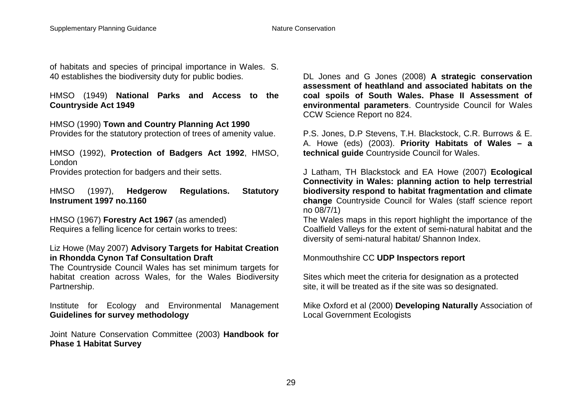of habitats and species of principal importance in Wales. S. 40 establishes the biodiversity duty for public bodies.

HMSO (1949) **National Parks and Access to the Countryside Act 1949**

HMSO (1990) **Town and Country Planning Act 1990** Provides for the statutory protection of trees of amenity value.

HMSO (1992), **Protection of Badgers Act 1992**, HMSO, London

Provides protection for badgers and their setts.

HMSO (1997), **Hedgerow Regulations. Statutory Instrument 1997 no.1160**

HMSO (1967) **Forestry Act 1967** (as amended) Requires a felling licence for certain works to trees:

#### Liz Howe (May 2007) **Advisory Targets for Habitat Creation in Rhondda Cynon Taf Consultation Draft**

The Countryside Council Wales has set minimum targets for habitat creation across Wales, for the Wales Biodiversity Partnership.

Institute for Ecology and Environmental Management **Guidelines for survey methodology**

Joint Nature Conservation Committee (2003) **Handbook for Phase 1 Habitat Survey**

DL Jones and G Jones (2008) **A strategic conservation assessment of heathland and associated habitats on the coal spoils of South Wales. Phase II Assessment of environmental parameters**. Countryside Council for Wales CCW Science Report no 824.

P.S. Jones, D.P Stevens, T.H. Blackstock, C.R. Burrows & E. A. Howe (eds) (2003). **Priority Habitats of Wales – a technical guide** Countryside Council for Wales.

J Latham, TH Blackstock and EA Howe (2007) **Ecological Connectivity in Wales: planning action to help terrestrial biodiversity respond to habitat fragmentation and climate change** Countryside Council for Wales (staff science report no 08/7/1)

The Wales maps in this report highlight the importance of the Coalfield Valleys for the extent of semi-natural habitat and the diversity of semi-natural habitat/ Shannon Index.

Monmouthshire CC **UDP Inspectors report**

Sites which meet the criteria for designation as a protected site, it will be treated as if the site was so designated.

Mike Oxford et al (2000) **Developing Naturally** Association of Local Government Ecologists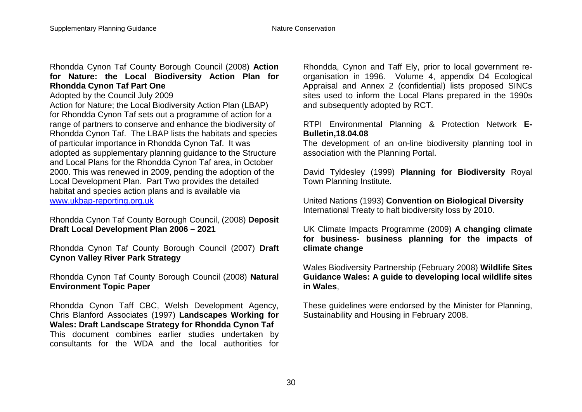#### Rhondda Cynon Taf County Borough Council (2008) **Action for Nature: the Local Biodiversity Action Plan for Rhondda Cynon Taf Part One**

Adopted by the Council July 2009

Action for Nature; the Local Biodiversity Action Plan (LBAP) for Rhondda Cynon Taf sets out a programme of action for a range of partners to conserve and enhance the biodiversity of Rhondda Cynon Taf. The LBAP lists the habitats and species of particular importance in Rhondda Cynon Taf. It was adopted as supplementary planning guidance to the Structure and Local Plans for the Rhondda Cynon Taf area, in October 2000. This was renewed in 2009, pending the adoption of the Local Development Plan. Part Two provides the detailed habitat and species action plans and is available via www.ukbap-reporting.org.uk

Rhondda Cynon Taf County Borough Council, (2008) **Deposit Draft Local Development Plan 2006 – 2021**

Rhondda Cynon Taf County Borough Council (2007) **Draft Cynon Valley River Park Strategy**

Rhondda Cynon Taf County Borough Council (2008) **Natural Environment Topic Paper**

Rhondda Cynon Taff CBC, Welsh Development Agency, Chris Blanford Associates (1997) **Landscapes Working for Wales: Draft Landscape Strategy for Rhondda Cynon Taf** This document combines earlier studies undertaken by consultants for the WDA and the local authorities for

Rhondda, Cynon and Taff Ely, prior to local government reorganisation in 1996. Volume 4, appendix D4 Ecological Appraisal and Annex 2 (confidential) lists proposed SINCs sites used to inform the Local Plans prepared in the 1990s and subsequently adopted by RCT.

RTPI Environmental Planning & Protection Network **E-Bulletin,18.04.08**

The development of an on-line biodiversity planning tool in association with the Planning Portal.

David Tyldesley (1999) **Planning for Biodiversity** Royal Town Planning Institute.

United Nations (1993) **Convention on Biological Diversity** International Treaty to halt biodiversity loss by 2010.

UK Climate Impacts Programme (2009) **A changing climate for business- business planning for the impacts of climate change**

Wales Biodiversity Partnership (February 2008) **Wildlife Sites Guidance Wales: A guide to developing local wildlife sites in Wales**,

These guidelines were endorsed by the Minister for Planning, Sustainability and Housing in February 2008.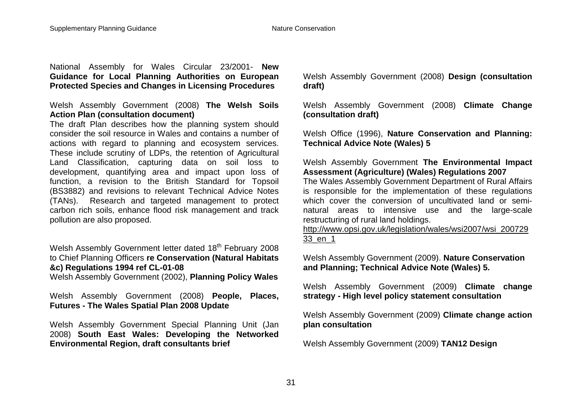National Assembly for Wales Circular 23/2001- **New Guidance for Local Planning Authorities on European Protected Species and Changes in Licensing Procedures**

Welsh Assembly Government (2008) **The Welsh Soils Action Plan (consultation document)**

The draft Plan describes how the planning system should consider the soil resource in Wales and contains a number of actions with regard to planning and ecosystem services. These include scrutiny of LDPs, the retention of Agricultural Land Classification, capturing data on soil loss to development, quantifying area and impact upon loss of function, a revision to the British Standard for Topsoil (BS3882) and revisions to relevant Technical Advice Notes (TANs). Research and targeted management to protect carbon rich soils, enhance flood risk management and track pollution are also proposed.

Welsh Assembly Government letter dated 18<sup>th</sup> February 2008 to Chief Planning Officers **re Conservation (Natural Habitats &c) Regulations 1994 ref CL-01-08** 

Welsh Assembly Government (2002), **Planning Policy Wales**

Welsh Assembly Government (2008) **People, Places, Futures - The Wales Spatial Plan 2008 Update**

Welsh Assembly Government Special Planning Unit (Jan 2008) **South East Wales: Developing the Networked Environmental Region, draft consultants brief**

Welsh Assembly Government (2008) **Design (consultation draft)**

Welsh Assembly Government (2008) **Climate Change (consultation draft)**

Welsh Office (1996), **Nature Conservation and Planning: Technical Advice Note (Wales) 5**

Welsh Assembly Government **The Environmental Impact Assessment (Agriculture) (Wales) Regulations 2007**

The Wales Assembly Government Department of Rural Affairs is responsible for the implementation of these regulations which cover the conversion of uncultivated land or seminatural areas to intensive use and the large-scale restructuring of rural land holdings.

http://www.opsi.gov.uk/legislation/wales/wsi2007/wsi\_200729 33\_en\_1

Welsh Assembly Government (2009). **Nature Conservation and Planning; Technical Advice Note (Wales) 5.** 

Welsh Assembly Government (2009) **Climate change strategy - High level policy statement consultation**

Welsh Assembly Government (2009) **Climate change action plan consultation**

Welsh Assembly Government (2009) **TAN12 Design**